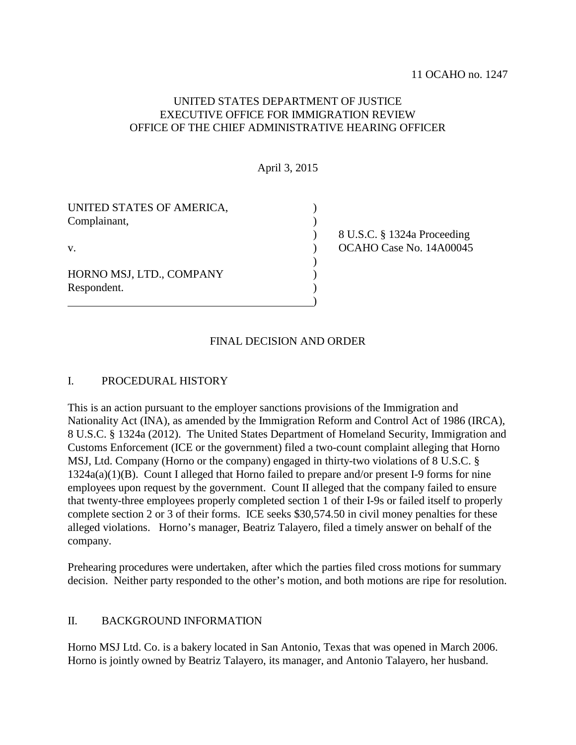# UNITED STATES DEPARTMENT OF JUSTICE EXECUTIVE OFFICE FOR IMMIGRATION REVIEW OFFICE OF THE CHIEF ADMINISTRATIVE HEARING OFFICER

April 3, 2015

| UNITED STATES OF AMERICA,<br>Complainant, |                             |
|-------------------------------------------|-----------------------------|
|                                           | 8 U.S.C. § 1324a Proceeding |
| V.                                        | OCAHO Case No. 14A00045     |
|                                           |                             |
| HORNO MSJ, LTD., COMPANY                  |                             |
| Respondent.                               |                             |
|                                           |                             |

# FINAL DECISION AND ORDER

### I. PROCEDURAL HISTORY

This is an action pursuant to the employer sanctions provisions of the Immigration and Nationality Act (INA), as amended by the Immigration Reform and Control Act of 1986 (IRCA), 8 U.S.C. § 1324a (2012). The United States Department of Homeland Security, Immigration and Customs Enforcement (ICE or the government) filed a two-count complaint alleging that Horno MSJ, Ltd. Company (Horno or the company) engaged in thirty-two violations of 8 U.S.C. § 1324a(a)(1)(B). Count I alleged that Horno failed to prepare and/or present I-9 forms for nine employees upon request by the government. Count II alleged that the company failed to ensure that twenty-three employees properly completed section 1 of their I-9s or failed itself to properly complete section 2 or 3 of their forms. ICE seeks \$30,574.50 in civil money penalties for these alleged violations. Horno's manager, Beatriz Talayero, filed a timely answer on behalf of the company.

Prehearing procedures were undertaken, after which the parties filed cross motions for summary decision. Neither party responded to the other's motion, and both motions are ripe for resolution.

## II. BACKGROUND INFORMATION

Horno MSJ Ltd. Co. is a bakery located in San Antonio, Texas that was opened in March 2006. Horno is jointly owned by Beatriz Talayero, its manager, and Antonio Talayero, her husband.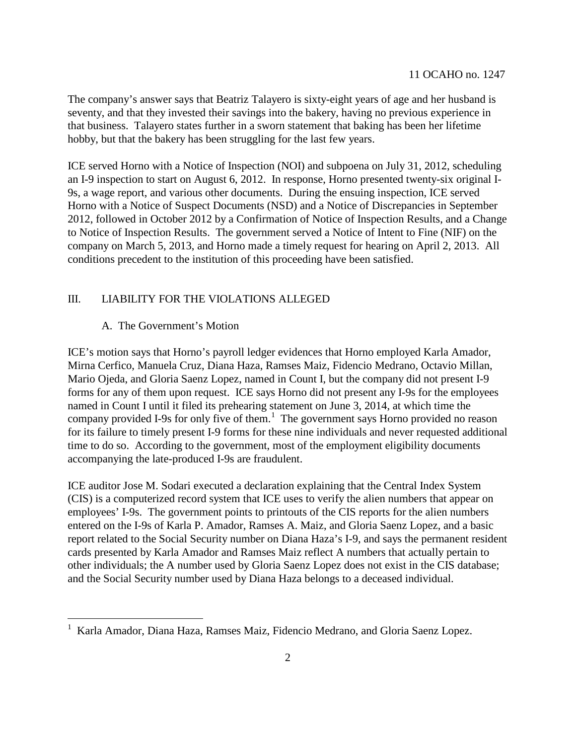The company's answer says that Beatriz Talayero is sixty-eight years of age and her husband is seventy, and that they invested their savings into the bakery, having no previous experience in that business. Talayero states further in a sworn statement that baking has been her lifetime hobby, but that the bakery has been struggling for the last few years.

ICE served Horno with a Notice of Inspection (NOI) and subpoena on July 31, 2012, scheduling an I-9 inspection to start on August 6, 2012. In response, Horno presented twenty-six original I-9s, a wage report, and various other documents. During the ensuing inspection, ICE served Horno with a Notice of Suspect Documents (NSD) and a Notice of Discrepancies in September 2012, followed in October 2012 by a Confirmation of Notice of Inspection Results, and a Change to Notice of Inspection Results. The government served a Notice of Intent to Fine (NIF) on the company on March 5, 2013, and Horno made a timely request for hearing on April 2, 2013. All conditions precedent to the institution of this proceeding have been satisfied.

### III. LIABILITY FOR THE VIOLATIONS ALLEGED

### A. The Government's Motion

ICE's motion says that Horno's payroll ledger evidences that Horno employed Karla Amador, Mirna Cerfico, Manuela Cruz, Diana Haza, Ramses Maiz, Fidencio Medrano, Octavio Millan, Mario Ojeda, and Gloria Saenz Lopez, named in Count I, but the company did not present I-9 forms for any of them upon request. ICE says Horno did not present any I-9s for the employees named in Count I until it filed its prehearing statement on June 3, 2014, at which time the company provided I-9s for only five of them. $<sup>1</sup>$  $<sup>1</sup>$  $<sup>1</sup>$  The government says Horno provided no reason</sup> for its failure to timely present I-9 forms for these nine individuals and never requested additional time to do so. According to the government, most of the employment eligibility documents accompanying the late-produced I-9s are fraudulent.

ICE auditor Jose M. Sodari executed a declaration explaining that the Central Index System (CIS) is a computerized record system that ICE uses to verify the alien numbers that appear on employees' I-9s. The government points to printouts of the CIS reports for the alien numbers entered on the I-9s of Karla P. Amador, Ramses A. Maiz, and Gloria Saenz Lopez, and a basic report related to the Social Security number on Diana Haza's I-9, and says the permanent resident cards presented by Karla Amador and Ramses Maiz reflect A numbers that actually pertain to other individuals; the A number used by Gloria Saenz Lopez does not exist in the CIS database; and the Social Security number used by Diana Haza belongs to a deceased individual.

<span id="page-1-0"></span> <sup>1</sup> Karla Amador, Diana Haza, Ramses Maiz, Fidencio Medrano, and Gloria Saenz Lopez.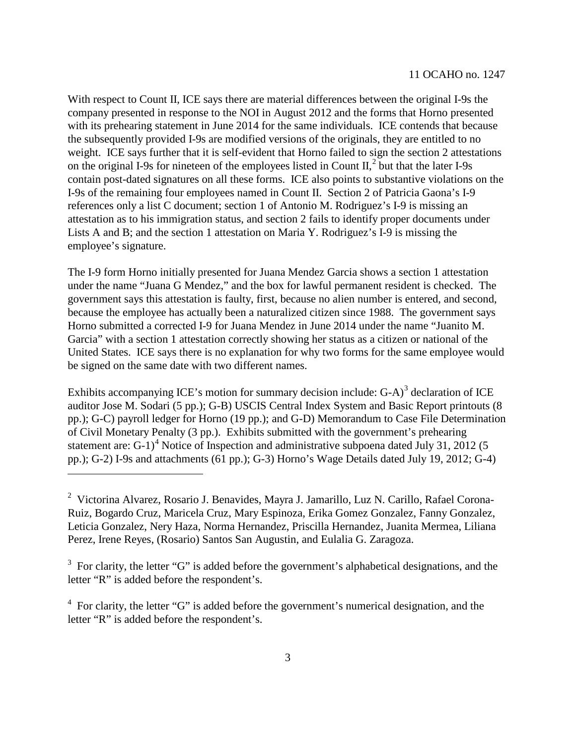With respect to Count II, ICE says there are material differences between the original I-9s the company presented in response to the NOI in August 2012 and the forms that Horno presented with its prehearing statement in June 2014 for the same individuals. ICE contends that because the subsequently provided I-9s are modified versions of the originals, they are entitled to no weight. ICE says further that it is self-evident that Horno failed to sign the section 2 attestations on the original I-9s for nineteen of the employees listed in Count  $II<sub>1</sub><sup>2</sup>$  $II<sub>1</sub><sup>2</sup>$  $II<sub>1</sub><sup>2</sup>$  but that the later I-9s contain post-dated signatures on all these forms. ICE also points to substantive violations on the I-9s of the remaining four employees named in Count II. Section 2 of Patricia Gaona's I-9 references only a list C document; section 1 of Antonio M. Rodriguez's I-9 is missing an attestation as to his immigration status, and section 2 fails to identify proper documents under Lists A and B; and the section 1 attestation on Maria Y. Rodriguez's I-9 is missing the employee's signature.

The I-9 form Horno initially presented for Juana Mendez Garcia shows a section 1 attestation under the name "Juana G Mendez," and the box for lawful permanent resident is checked. The government says this attestation is faulty, first, because no alien number is entered, and second, because the employee has actually been a naturalized citizen since 1988. The government says Horno submitted a corrected I-9 for Juana Mendez in June 2014 under the name "Juanito M. Garcia" with a section 1 attestation correctly showing her status as a citizen or national of the United States. ICE says there is no explanation for why two forms for the same employee would be signed on the same date with two different names.

Exhibits accompanying ICE's motion for summary decision include: G-A)<sup>[3](#page-2-1)</sup> declaration of ICE auditor Jose M. Sodari (5 pp.); G-B) USCIS Central Index System and Basic Report printouts (8 pp.); G-C) payroll ledger for Horno (19 pp.); and G-D) Memorandum to Case File Determination of Civil Monetary Penalty (3 pp.). Exhibits submitted with the government's prehearing statement are:  $G-1$ <sup>[4](#page-2-2)</sup> Notice of Inspection and administrative subpoena dated July 31, 2012 (5) pp.); G-2) I-9s and attachments (61 pp.); G-3) Horno's Wage Details dated July 19, 2012; G-4)

 $\overline{a}$ 

<span id="page-2-0"></span><sup>&</sup>lt;sup>2</sup> Victorina Alvarez, Rosario J. Benavides, Mayra J. Jamarillo, Luz N. Carillo, Rafael Corona-Ruiz, Bogardo Cruz, Maricela Cruz, Mary Espinoza, Erika Gomez Gonzalez, Fanny Gonzalez, Leticia Gonzalez, Nery Haza, Norma Hernandez, Priscilla Hernandez, Juanita Mermea, Liliana Perez, Irene Reyes, (Rosario) Santos San Augustin, and Eulalia G. Zaragoza.

<span id="page-2-1"></span> $3$  For clarity, the letter "G" is added before the government's alphabetical designations, and the letter "R" is added before the respondent's.

<span id="page-2-2"></span><sup>&</sup>lt;sup>4</sup> For clarity, the letter "G" is added before the government's numerical designation, and the letter "R" is added before the respondent's.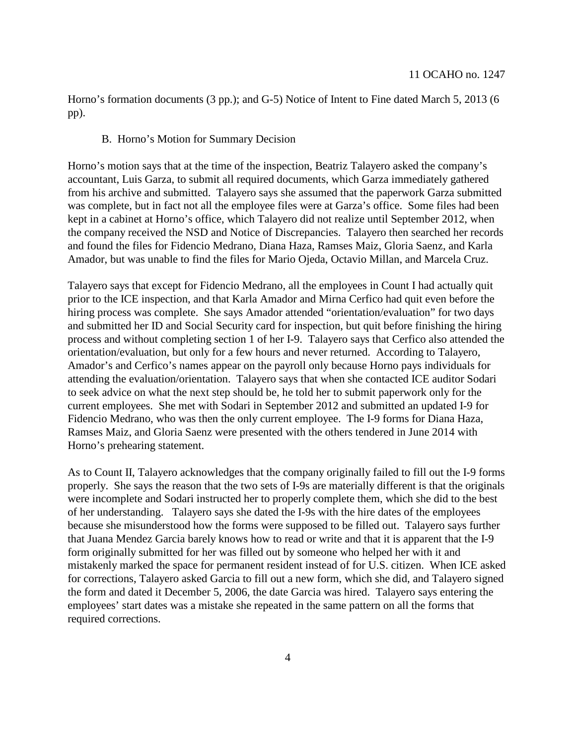Horno's formation documents (3 pp.); and G-5) Notice of Intent to Fine dated March 5, 2013 (6 pp).

#### B. Horno's Motion for Summary Decision

Horno's motion says that at the time of the inspection, Beatriz Talayero asked the company's accountant, Luis Garza, to submit all required documents, which Garza immediately gathered from his archive and submitted. Talayero says she assumed that the paperwork Garza submitted was complete, but in fact not all the employee files were at Garza's office. Some files had been kept in a cabinet at Horno's office, which Talayero did not realize until September 2012, when the company received the NSD and Notice of Discrepancies. Talayero then searched her records and found the files for Fidencio Medrano, Diana Haza, Ramses Maiz, Gloria Saenz, and Karla Amador, but was unable to find the files for Mario Ojeda, Octavio Millan, and Marcela Cruz.

Talayero says that except for Fidencio Medrano, all the employees in Count I had actually quit prior to the ICE inspection, and that Karla Amador and Mirna Cerfico had quit even before the hiring process was complete. She says Amador attended "orientation/evaluation" for two days and submitted her ID and Social Security card for inspection, but quit before finishing the hiring process and without completing section 1 of her I-9. Talayero says that Cerfico also attended the orientation/evaluation, but only for a few hours and never returned. According to Talayero, Amador's and Cerfico's names appear on the payroll only because Horno pays individuals for attending the evaluation/orientation. Talayero says that when she contacted ICE auditor Sodari to seek advice on what the next step should be, he told her to submit paperwork only for the current employees. She met with Sodari in September 2012 and submitted an updated I-9 for Fidencio Medrano, who was then the only current employee. The I-9 forms for Diana Haza, Ramses Maiz, and Gloria Saenz were presented with the others tendered in June 2014 with Horno's prehearing statement.

As to Count II, Talayero acknowledges that the company originally failed to fill out the I-9 forms properly. She says the reason that the two sets of I-9s are materially different is that the originals were incomplete and Sodari instructed her to properly complete them, which she did to the best of her understanding. Talayero says she dated the I-9s with the hire dates of the employees because she misunderstood how the forms were supposed to be filled out. Talayero says further that Juana Mendez Garcia barely knows how to read or write and that it is apparent that the I-9 form originally submitted for her was filled out by someone who helped her with it and mistakenly marked the space for permanent resident instead of for U.S. citizen. When ICE asked for corrections, Talayero asked Garcia to fill out a new form, which she did, and Talayero signed the form and dated it December 5, 2006, the date Garcia was hired. Talayero says entering the employees' start dates was a mistake she repeated in the same pattern on all the forms that required corrections.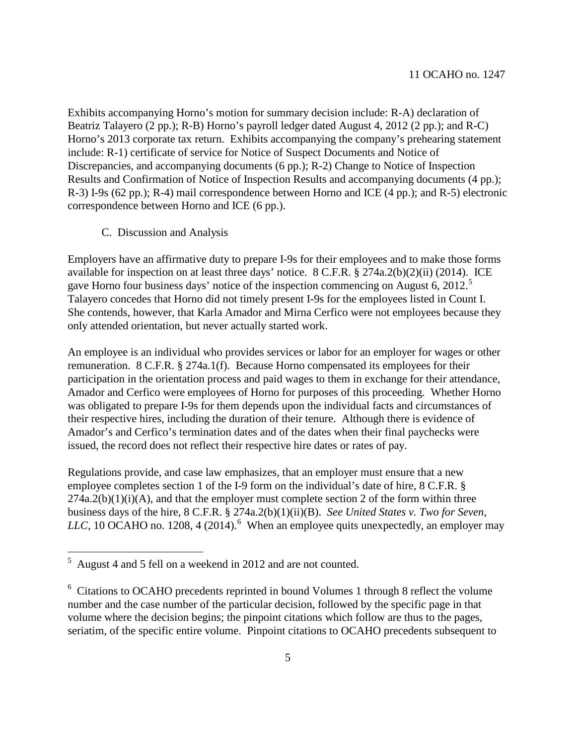Exhibits accompanying Horno's motion for summary decision include: R-A) declaration of Beatriz Talayero (2 pp.); R-B) Horno's payroll ledger dated August 4, 2012 (2 pp.); and R-C) Horno's 2013 corporate tax return. Exhibits accompanying the company's prehearing statement include: R-1) certificate of service for Notice of Suspect Documents and Notice of Discrepancies, and accompanying documents (6 pp.); R-2) Change to Notice of Inspection Results and Confirmation of Notice of Inspection Results and accompanying documents (4 pp.); R-3) I-9s (62 pp.); R-4) mail correspondence between Horno and ICE (4 pp.); and R-5) electronic correspondence between Horno and ICE (6 pp.).

C. Discussion and Analysis

Employers have an affirmative duty to prepare I-9s for their employees and to make those forms available for inspection on at least three days' notice. 8 C.F.R. § 274a.2(b)(2)(ii) (2014). ICE gave Horno four business days' notice of the inspection commencing on August 6, 2012.<sup>[5](#page-4-0)</sup> Talayero concedes that Horno did not timely present I-9s for the employees listed in Count I. She contends, however, that Karla Amador and Mirna Cerfico were not employees because they only attended orientation, but never actually started work.

An employee is an individual who provides services or labor for an employer for wages or other remuneration. 8 C.F.R. § 274a.1(f). Because Horno compensated its employees for their participation in the orientation process and paid wages to them in exchange for their attendance, Amador and Cerfico were employees of Horno for purposes of this proceeding. Whether Horno was obligated to prepare I-9s for them depends upon the individual facts and circumstances of their respective hires, including the duration of their tenure. Although there is evidence of Amador's and Cerfico's termination dates and of the dates when their final paychecks were issued, the record does not reflect their respective hire dates or rates of pay.

<span id="page-4-0"></span>Regulations provide, and case law emphasizes, that an employer must ensure that a new employee completes section 1 of the I-9 form on the individual's date of hire, 8 C.F.R. §  $274a.2(b)(1)(i)(A)$ , and that the employer must complete section 2 of the form within three business days of the hire, 8 C.F.R. § 274a.2(b)(1)(ii)(B). *See United States v. Two for Seven*, LLC, 10 OCAHO no. 1208, 4 (2014).<sup>[6](#page-4-1)</sup> When an employee quits unexpectedly, an employer may

<span id="page-4-1"></span> <sup>5</sup> August 4 and 5 fell on a weekend in 2012 and are not counted.

<sup>&</sup>lt;sup>6</sup> Citations to OCAHO precedents reprinted in bound Volumes 1 through 8 reflect the volume number and the case number of the particular decision, followed by the specific page in that volume where the decision begins; the pinpoint citations which follow are thus to the pages, seriatim, of the specific entire volume. Pinpoint citations to OCAHO precedents subsequent to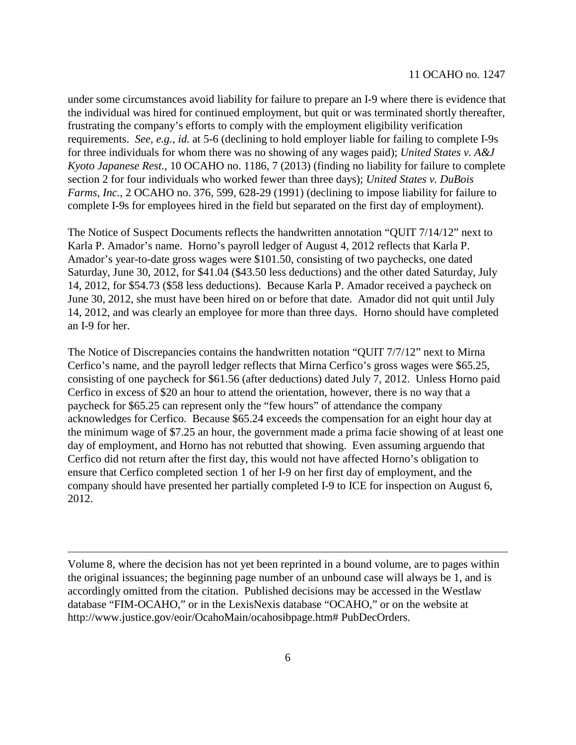under some circumstances avoid liability for failure to prepare an I-9 where there is evidence that the individual was hired for continued employment, but quit or was terminated shortly thereafter, frustrating the company's efforts to comply with the employment eligibility verification requirements. *See, e.g.*, *id.* at 5-6 (declining to hold employer liable for failing to complete I-9s for three individuals for whom there was no showing of any wages paid); *United States v. A&J Kyoto Japanese Rest.*, 10 OCAHO no. 1186, 7 (2013) (finding no liability for failure to complete section 2 for four individuals who worked fewer than three days); *United States v. DuBois Farms, Inc.*, 2 OCAHO no. 376, 599, 628-29 (1991) (declining to impose liability for failure to complete I-9s for employees hired in the field but separated on the first day of employment).

The Notice of Suspect Documents reflects the handwritten annotation "QUIT 7/14/12" next to Karla P. Amador's name. Horno's payroll ledger of August 4, 2012 reflects that Karla P. Amador's year-to-date gross wages were \$101.50, consisting of two paychecks, one dated Saturday, June 30, 2012, for \$41.04 (\$43.50 less deductions) and the other dated Saturday, July 14, 2012, for \$54.73 (\$58 less deductions). Because Karla P. Amador received a paycheck on June 30, 2012, she must have been hired on or before that date. Amador did not quit until July 14, 2012, and was clearly an employee for more than three days. Horno should have completed an I-9 for her.

The Notice of Discrepancies contains the handwritten notation "QUIT 7/7/12" next to Mirna Cerfico's name, and the payroll ledger reflects that Mirna Cerfico's gross wages were \$65.25, consisting of one paycheck for \$61.56 (after deductions) dated July 7, 2012. Unless Horno paid Cerfico in excess of \$20 an hour to attend the orientation, however, there is no way that a paycheck for \$65.25 can represent only the "few hours" of attendance the company acknowledges for Cerfico. Because \$65.24 exceeds the compensation for an eight hour day at the minimum wage of \$7.25 an hour, the government made a prima facie showing of at least one day of employment, and Horno has not rebutted that showing. Even assuming arguendo that Cerfico did not return after the first day, this would not have affected Horno's obligation to ensure that Cerfico completed section 1 of her I-9 on her first day of employment, and the company should have presented her partially completed I-9 to ICE for inspection on August 6, 2012.

Volume 8, where the decision has not yet been reprinted in a bound volume, are to pages within the original issuances; the beginning page number of an unbound case will always be 1, and is accordingly omitted from the citation. Published decisions may be accessed in the Westlaw database "FIM-OCAHO," or in the LexisNexis database "OCAHO," or on the website at http://www.justice.gov/eoir/OcahoMain/ocahosibpage.htm# PubDecOrders.

 $\overline{a}$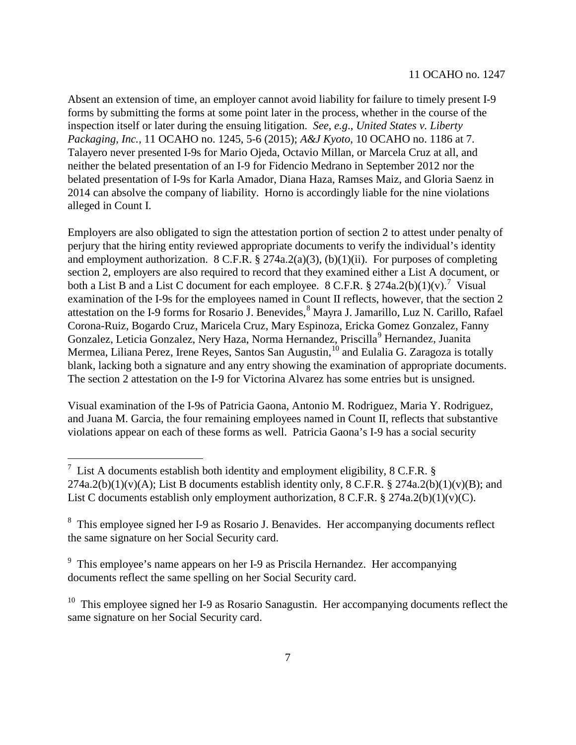Absent an extension of time, an employer cannot avoid liability for failure to timely present I-9 forms by submitting the forms at some point later in the process, whether in the course of the inspection itself or later during the ensuing litigation. *See*, *e.g*., *United States v. Liberty Packaging, Inc.*, 11 OCAHO no. 1245, 5-6 (2015); *A&J Kyoto*, 10 OCAHO no. 1186 at 7. Talayero never presented I-9s for Mario Ojeda, Octavio Millan, or Marcela Cruz at all, and neither the belated presentation of an I-9 for Fidencio Medrano in September 2012 nor the belated presentation of I-9s for Karla Amador, Diana Haza, Ramses Maiz, and Gloria Saenz in 2014 can absolve the company of liability. Horno is accordingly liable for the nine violations alleged in Count I.

Employers are also obligated to sign the attestation portion of section 2 to attest under penalty of perjury that the hiring entity reviewed appropriate documents to verify the individual's identity and employment authorization.  $8 \text{ C.F.R.}$   $\frac{6}{9}$   $274a.2(a)(3)$ , (b)(1)(ii). For purposes of completing section 2, employers are also required to record that they examined either a List A document, or both a List B and a List C document for each employee. 8 C.F.R.  $\S 274a.2(b)(1)(v)$  $\S 274a.2(b)(1)(v)$  $\S 274a.2(b)(1)(v)$ .<sup>7</sup> Visual examination of the I-9s for the employees named in Count II reflects, however, that the section 2 attestation on the I-9 forms for Rosario J. Benevides,<sup>[8](#page-6-1)</sup> Mayra J. Jamarillo, Luz N. Carillo, Rafael Corona-Ruiz, Bogardo Cruz, Maricela Cruz, Mary Espinoza, Ericka Gomez Gonzalez, Fanny Gonzalez, Leticia Gonzalez, Nery Haza, Norma Hernandez, Priscilla<sup>[9](#page-6-2)</sup> Hernandez, Juanita Mermea, Liliana Perez, Irene Reyes, Santos San Augustin,<sup>[10](#page-6-3)</sup> and Eulalia G. Zaragoza is totally blank, lacking both a signature and any entry showing the examination of appropriate documents. The section 2 attestation on the I-9 for Victorina Alvarez has some entries but is unsigned.

Visual examination of the I-9s of Patricia Gaona, Antonio M. Rodriguez, Maria Y. Rodriguez, and Juana M. Garcia, the four remaining employees named in Count II, reflects that substantive violations appear on each of these forms as well. Patricia Gaona's I-9 has a social security

<span id="page-6-0"></span><sup>&</sup>lt;sup>7</sup> List A documents establish both identity and employment eligibility, 8 C.F.R. §  $274a.2(b)(1)(v)(A)$ ; List B documents establish identity only, 8 C.F.R. § 274a.2(b)(1)(v)(B); and List C documents establish only employment authorization,  $8 \text{ C.F.R.}$   $\frac{8}{9}$  274a.2(b)(1)(v)(C).

<span id="page-6-1"></span><sup>&</sup>lt;sup>8</sup> This employee signed her I-9 as Rosario J. Benavides. Her accompanying documents reflect the same signature on her Social Security card.

<span id="page-6-2"></span><sup>&</sup>lt;sup>9</sup> This employee's name appears on her I-9 as Priscila Hernandez. Her accompanying documents reflect the same spelling on her Social Security card.

<span id="page-6-3"></span> $10$  This employee signed her I-9 as Rosario Sanagustin. Her accompanying documents reflect the same signature on her Social Security card.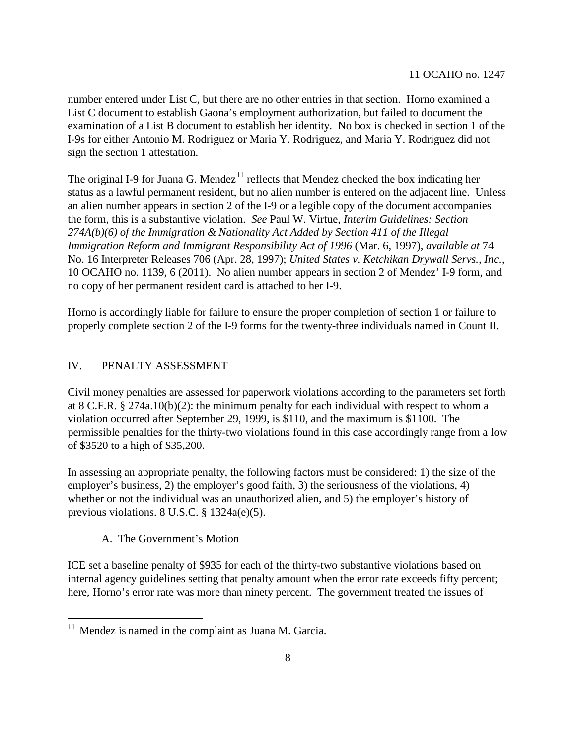number entered under List C, but there are no other entries in that section. Horno examined a List C document to establish Gaona's employment authorization, but failed to document the examination of a List B document to establish her identity. No box is checked in section 1 of the I-9s for either Antonio M. Rodriguez or Maria Y. Rodriguez, and Maria Y. Rodriguez did not sign the section 1 attestation.

The original I-9 for Juana G. Mendez<sup>[11](#page-7-0)</sup> reflects that Mendez checked the box indicating her status as a lawful permanent resident, but no alien number is entered on the adjacent line. Unless an alien number appears in section 2 of the I-9 or a legible copy of the document accompanies the form, this is a substantive violation. *See* Paul W. Virtue, *Interim Guidelines: Section 274A(b)(6) of the Immigration & Nationality Act Added by Section 411 of the Illegal Immigration Reform and Immigrant Responsibility Act of 1996* (Mar. 6, 1997), *available at* 74 No. 16 Interpreter Releases 706 (Apr. 28, 1997); *United States v. Ketchikan Drywall Servs., Inc.*, 10 OCAHO no. 1139, 6 (2011). No alien number appears in section 2 of Mendez' I-9 form, and no copy of her permanent resident card is attached to her I-9.

Horno is accordingly liable for failure to ensure the proper completion of section 1 or failure to properly complete section 2 of the I-9 forms for the twenty-three individuals named in Count II.

## IV. PENALTY ASSESSMENT

Civil money penalties are assessed for paperwork violations according to the parameters set forth at 8 C.F.R. § 274a.10(b)(2): the minimum penalty for each individual with respect to whom a violation occurred after September 29, 1999, is \$110, and the maximum is \$1100. The permissible penalties for the thirty-two violations found in this case accordingly range from a low of \$3520 to a high of \$35,200.

In assessing an appropriate penalty, the following factors must be considered: 1) the size of the employer's business, 2) the employer's good faith, 3) the seriousness of the violations, 4) whether or not the individual was an unauthorized alien, and 5) the employer's history of previous violations. 8 U.S.C. § 1324a(e)(5).

## A. The Government's Motion

ICE set a baseline penalty of \$935 for each of the thirty-two substantive violations based on internal agency guidelines setting that penalty amount when the error rate exceeds fifty percent; here, Horno's error rate was more than ninety percent. The government treated the issues of

<span id="page-7-0"></span> $11$  Mendez is named in the complaint as Juana M. Garcia.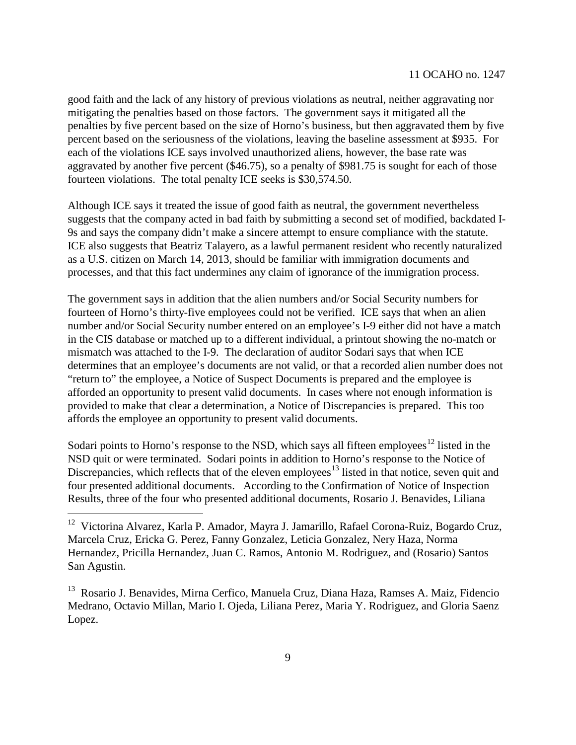good faith and the lack of any history of previous violations as neutral, neither aggravating nor mitigating the penalties based on those factors. The government says it mitigated all the penalties by five percent based on the size of Horno's business, but then aggravated them by five percent based on the seriousness of the violations, leaving the baseline assessment at \$935. For each of the violations ICE says involved unauthorized aliens, however, the base rate was aggravated by another five percent (\$46.75), so a penalty of \$981.75 is sought for each of those fourteen violations. The total penalty ICE seeks is \$30,574.50.

Although ICE says it treated the issue of good faith as neutral, the government nevertheless suggests that the company acted in bad faith by submitting a second set of modified, backdated I-9s and says the company didn't make a sincere attempt to ensure compliance with the statute. ICE also suggests that Beatriz Talayero, as a lawful permanent resident who recently naturalized as a U.S. citizen on March 14, 2013, should be familiar with immigration documents and processes, and that this fact undermines any claim of ignorance of the immigration process.

The government says in addition that the alien numbers and/or Social Security numbers for fourteen of Horno's thirty-five employees could not be verified. ICE says that when an alien number and/or Social Security number entered on an employee's I-9 either did not have a match in the CIS database or matched up to a different individual, a printout showing the no-match or mismatch was attached to the I-9. The declaration of auditor Sodari says that when ICE determines that an employee's documents are not valid, or that a recorded alien number does not "return to" the employee, a Notice of Suspect Documents is prepared and the employee is afforded an opportunity to present valid documents. In cases where not enough information is provided to make that clear a determination, a Notice of Discrepancies is prepared. This too affords the employee an opportunity to present valid documents.

Sodari points to Horno's response to the NSD, which says all fifteen employees<sup>[12](#page-8-0)</sup> listed in the NSD quit or were terminated. Sodari points in addition to Horno's response to the Notice of Discrepancies, which reflects that of the eleven employees<sup>[13](#page-8-1)</sup> listed in that notice, seven quit and four presented additional documents. According to the Confirmation of Notice of Inspection Results, three of the four who presented additional documents, Rosario J. Benavides, Liliana

<span id="page-8-0"></span><sup>&</sup>lt;sup>12</sup> Victorina Alvarez, Karla P. Amador, Mayra J. Jamarillo, Rafael Corona-Ruiz, Bogardo Cruz, Marcela Cruz, Ericka G. Perez, Fanny Gonzalez, Leticia Gonzalez, Nery Haza, Norma Hernandez, Pricilla Hernandez, Juan C. Ramos, Antonio M. Rodriguez, and (Rosario) Santos San Agustin.

<span id="page-8-1"></span><sup>&</sup>lt;sup>13</sup> Rosario J. Benavides, Mirna Cerfico, Manuela Cruz, Diana Haza, Ramses A. Maiz, Fidencio Medrano, Octavio Millan, Mario I. Ojeda, Liliana Perez, Maria Y. Rodriguez, and Gloria Saenz Lopez.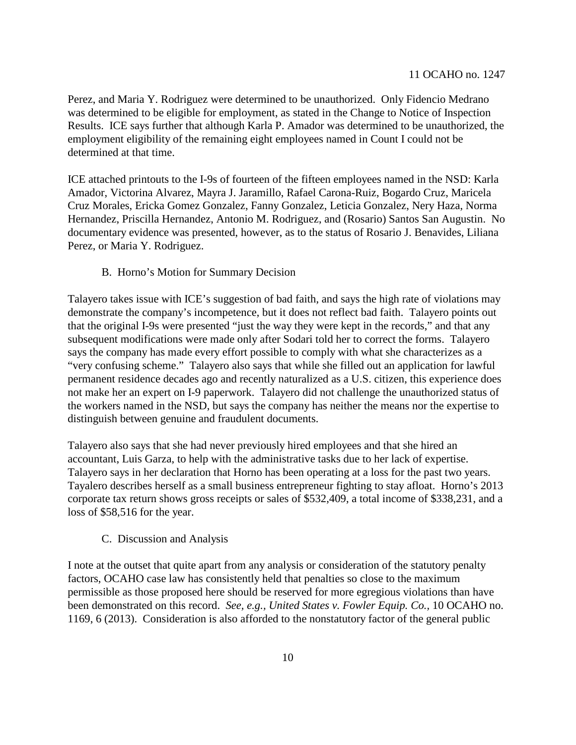Perez, and Maria Y. Rodriguez were determined to be unauthorized. Only Fidencio Medrano was determined to be eligible for employment, as stated in the Change to Notice of Inspection Results. ICE says further that although Karla P. Amador was determined to be unauthorized, the employment eligibility of the remaining eight employees named in Count I could not be determined at that time.

ICE attached printouts to the I-9s of fourteen of the fifteen employees named in the NSD: Karla Amador, Victorina Alvarez, Mayra J. Jaramillo, Rafael Carona-Ruiz, Bogardo Cruz, Maricela Cruz Morales, Ericka Gomez Gonzalez, Fanny Gonzalez, Leticia Gonzalez, Nery Haza, Norma Hernandez, Priscilla Hernandez, Antonio M. Rodriguez, and (Rosario) Santos San Augustin. No documentary evidence was presented, however, as to the status of Rosario J. Benavides, Liliana Perez, or Maria Y. Rodriguez.

### B. Horno's Motion for Summary Decision

Talayero takes issue with ICE's suggestion of bad faith, and says the high rate of violations may demonstrate the company's incompetence, but it does not reflect bad faith. Talayero points out that the original I-9s were presented "just the way they were kept in the records," and that any subsequent modifications were made only after Sodari told her to correct the forms. Talayero says the company has made every effort possible to comply with what she characterizes as a "very confusing scheme." Talayero also says that while she filled out an application for lawful permanent residence decades ago and recently naturalized as a U.S. citizen, this experience does not make her an expert on I-9 paperwork. Talayero did not challenge the unauthorized status of the workers named in the NSD, but says the company has neither the means nor the expertise to distinguish between genuine and fraudulent documents.

Talayero also says that she had never previously hired employees and that she hired an accountant, Luis Garza, to help with the administrative tasks due to her lack of expertise. Talayero says in her declaration that Horno has been operating at a loss for the past two years. Tayalero describes herself as a small business entrepreneur fighting to stay afloat. Horno's 2013 corporate tax return shows gross receipts or sales of \$532,409, a total income of \$338,231, and a loss of \$58,516 for the year.

### C. Discussion and Analysis

I note at the outset that quite apart from any analysis or consideration of the statutory penalty factors, OCAHO case law has consistently held that penalties so close to the maximum permissible as those proposed here should be reserved for more egregious violations than have been demonstrated on this record. *See, e.g., United States v. Fowler Equip. Co.,* 10 OCAHO no. 1169, 6 (2013). Consideration is also afforded to the nonstatutory factor of the general public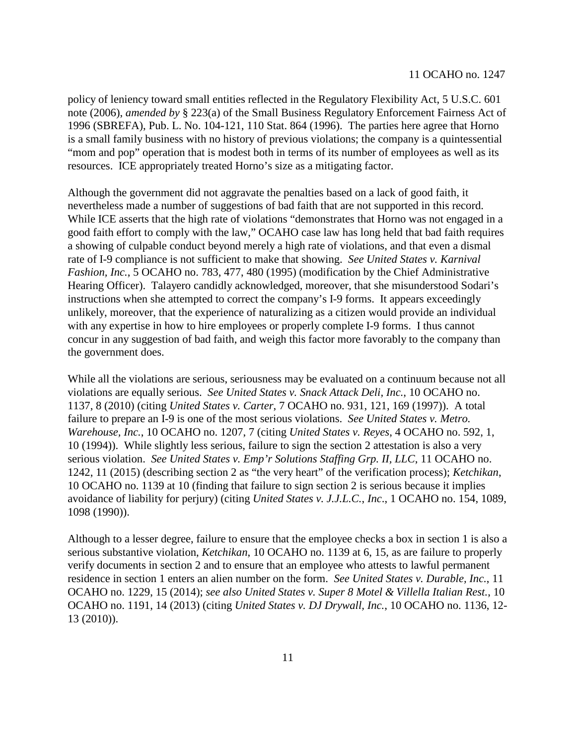policy of leniency toward small entities reflected in the Regulatory Flexibility Act, 5 U.S.C. 601 note (2006), *amended by* § 223(a) of the Small Business Regulatory Enforcement Fairness Act of 1996 (SBREFA), Pub. L. No. 104-121, 110 Stat. 864 (1996). The parties here agree that Horno is a small family business with no history of previous violations; the company is a quintessential "mom and pop" operation that is modest both in terms of its number of employees as well as its resources. ICE appropriately treated Horno's size as a mitigating factor.

Although the government did not aggravate the penalties based on a lack of good faith, it nevertheless made a number of suggestions of bad faith that are not supported in this record. While ICE asserts that the high rate of violations "demonstrates that Horno was not engaged in a good faith effort to comply with the law," OCAHO case law has long held that bad faith requires a showing of culpable conduct beyond merely a high rate of violations, and that even a dismal rate of I-9 compliance is not sufficient to make that showing. *See United States v. Karnival Fashion, Inc.*, 5 OCAHO no. 783, 477, 480 (1995) (modification by the Chief Administrative Hearing Officer). Talayero candidly acknowledged, moreover, that she misunderstood Sodari's instructions when she attempted to correct the company's I-9 forms. It appears exceedingly unlikely, moreover, that the experience of naturalizing as a citizen would provide an individual with any expertise in how to hire employees or properly complete I-9 forms. I thus cannot concur in any suggestion of bad faith, and weigh this factor more favorably to the company than the government does.

While all the violations are serious, seriousness may be evaluated on a continuum because not all violations are equally serious. *See United States v. Snack Attack Deli, Inc.*, 10 OCAHO no. 1137, 8 (2010) (citing *United States v. Carter*, 7 OCAHO no. 931, 121, 169 (1997)). A total failure to prepare an I-9 is one of the most serious violations. *See United States v. Metro. Warehouse, Inc.*, 10 OCAHO no. 1207, 7 (citing *United States v. Reyes*, 4 OCAHO no. 592, 1, 10 (1994)). While slightly less serious, failure to sign the section 2 attestation is also a very serious violation. *See United States v. Emp'r Solutions Staffing Grp. II, LLC*, 11 OCAHO no. 1242, 11 (2015) (describing section 2 as "the very heart" of the verification process); *Ketchikan*, 10 OCAHO no. 1139 at 10 (finding that failure to sign section 2 is serious because it implies avoidance of liability for perjury) (citing *United States v. J.J.L.C.*, *Inc*., 1 OCAHO no. 154, 1089, 1098 (1990)).

Although to a lesser degree, failure to ensure that the employee checks a box in section 1 is also a serious substantive violation, *Ketchikan*, 10 OCAHO no. 1139 at 6, 15, as are failure to properly verify documents in section 2 and to ensure that an employee who attests to lawful permanent residence in section 1 enters an alien number on the form. *See United States v. Durable, Inc.*, 11 OCAHO no. 1229, 15 (2014); *see also United States v. Super 8 Motel & Villella Italian Rest.*, 10 OCAHO no. 1191, 14 (2013) (citing *United States v. DJ Drywall, Inc.*, 10 OCAHO no. 1136, 12- 13 (2010)).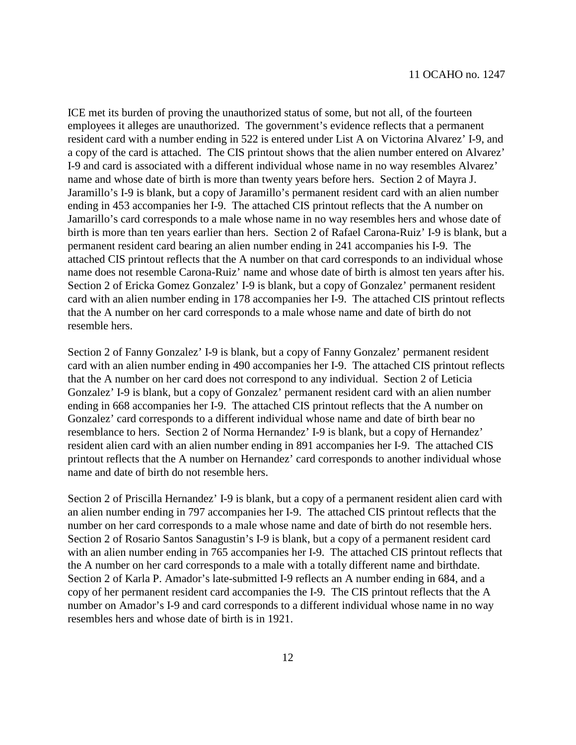ICE met its burden of proving the unauthorized status of some, but not all, of the fourteen employees it alleges are unauthorized. The government's evidence reflects that a permanent resident card with a number ending in 522 is entered under List A on Victorina Alvarez' I-9, and a copy of the card is attached. The CIS printout shows that the alien number entered on Alvarez' I-9 and card is associated with a different individual whose name in no way resembles Alvarez' name and whose date of birth is more than twenty years before hers. Section 2 of Mayra J. Jaramillo's I-9 is blank, but a copy of Jaramillo's permanent resident card with an alien number ending in 453 accompanies her I-9. The attached CIS printout reflects that the A number on Jamarillo's card corresponds to a male whose name in no way resembles hers and whose date of birth is more than ten years earlier than hers. Section 2 of Rafael Carona-Ruiz' I-9 is blank, but a permanent resident card bearing an alien number ending in 241 accompanies his I-9. The attached CIS printout reflects that the A number on that card corresponds to an individual whose name does not resemble Carona-Ruiz' name and whose date of birth is almost ten years after his. Section 2 of Ericka Gomez Gonzalez' I-9 is blank, but a copy of Gonzalez' permanent resident card with an alien number ending in 178 accompanies her I-9. The attached CIS printout reflects that the A number on her card corresponds to a male whose name and date of birth do not resemble hers.

Section 2 of Fanny Gonzalez' I-9 is blank, but a copy of Fanny Gonzalez' permanent resident card with an alien number ending in 490 accompanies her I-9. The attached CIS printout reflects that the A number on her card does not correspond to any individual. Section 2 of Leticia Gonzalez' I-9 is blank, but a copy of Gonzalez' permanent resident card with an alien number ending in 668 accompanies her I-9. The attached CIS printout reflects that the A number on Gonzalez' card corresponds to a different individual whose name and date of birth bear no resemblance to hers. Section 2 of Norma Hernandez' I-9 is blank, but a copy of Hernandez' resident alien card with an alien number ending in 891 accompanies her I-9. The attached CIS printout reflects that the A number on Hernandez' card corresponds to another individual whose name and date of birth do not resemble hers.

Section 2 of Priscilla Hernandez' I-9 is blank, but a copy of a permanent resident alien card with an alien number ending in 797 accompanies her I-9. The attached CIS printout reflects that the number on her card corresponds to a male whose name and date of birth do not resemble hers. Section 2 of Rosario Santos Sanagustin's I-9 is blank, but a copy of a permanent resident card with an alien number ending in 765 accompanies her I-9. The attached CIS printout reflects that the A number on her card corresponds to a male with a totally different name and birthdate. Section 2 of Karla P. Amador's late-submitted I-9 reflects an A number ending in 684, and a copy of her permanent resident card accompanies the I-9. The CIS printout reflects that the A number on Amador's I-9 and card corresponds to a different individual whose name in no way resembles hers and whose date of birth is in 1921.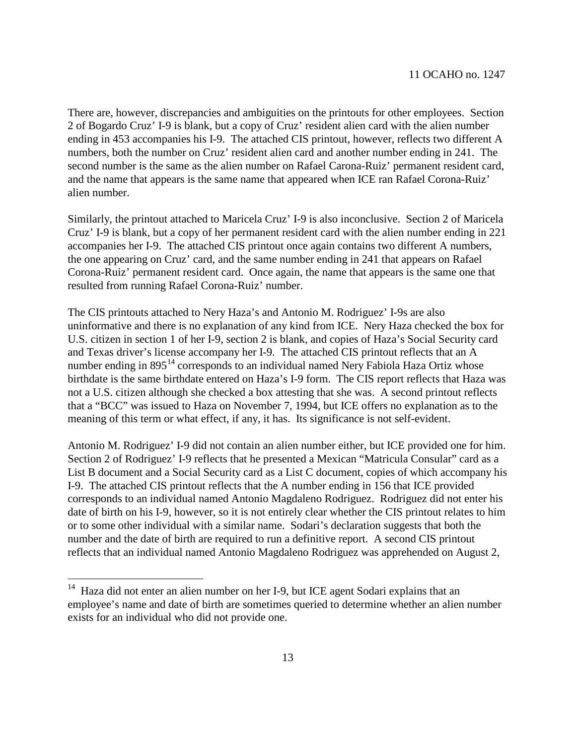There are, however, discrepancies and ambiguities on the printouts for other employees. Section 2 of Bogardo Cruz' I-9 is blank, but a copy of Cruz' resident alien card with the alien number ending in 453 accompanies his I-9. The attached CIS printout, however, reflects two different A numbers, both the number on Cruz' resident alien card and another number ending in 241. The second number is the same as the alien number on Rafael Carona-Ruiz' permanent resident card, and the name that appears is the same name that appeared when ICE ran Rafael Corona-Ruiz' alien number.

Similarly, the printout attached to Maricela Cruz' I-9 is also inconclusive. Section 2 of Maricela Cruz' I-9 is blank, but a copy of her permanent resident card with the alien number ending in 221 accompanies her I-9. The attached CIS printout once again contains two different A numbers, the one appearing on Cruz' card, and the same number ending in 241 that appears on Rafael Corona-Ruiz' permanent resident card. Once again, the name that appears is the same one that resulted from running Rafael Corona-Ruiz' number.

The CIS printouts attached to Nery Haza's and Antonio M. Rodriguez' I-9s are also uninformative and there is no explanation of any kind from ICE. Nery Haza checked the box for U.S. citizen in section 1 of her I-9, section 2 is blank, and copies of Haza's Social Security card and Texas driver's license accompany her I-9. The attached CIS printout reflects that an A number ending in 895<sup>[14](#page-12-0)</sup> corresponds to an individual named Nery Fabiola Haza Ortiz whose birthdate is the same birthdate entered on Haza's I-9 form. The CIS report reflects that Haza was not a U.S. citizen although she checked a box attesting that she was. A second printout reflects that a "BCC" was issued to Haza on November 7, 1994, but ICE offers no explanation as to the meaning of this term or what effect, if any, it has. Its significance is not self-evident.

Antonio M. Rodriguez' I-9 did not contain an alien number either, but ICE provided one for him. Section 2 of Rodriguez' I-9 reflects that he presented a Mexican "Matricula Consular" card as a List B document and a Social Security card as a List C document, copies of which accompany his I-9. The attached CIS printout reflects that the A number ending in 156 that ICE provided corresponds to an individual named Antonio Magdaleno Rodriguez. Rodriguez did not enter his date of birth on his I-9, however, so it is not entirely clear whether the CIS printout relates to him or to some other individual with a similar name. Sodari's declaration suggests that both the number and the date of birth are required to run a definitive report. A second CIS printout reflects that an individual named Antonio Magdaleno Rodriguez was apprehended on August 2,

<span id="page-12-0"></span> $14$  Haza did not enter an alien number on her I-9, but ICE agent Sodari explains that an employee's name and date of birth are sometimes queried to determine whether an alien number exists for an individual who did not provide one.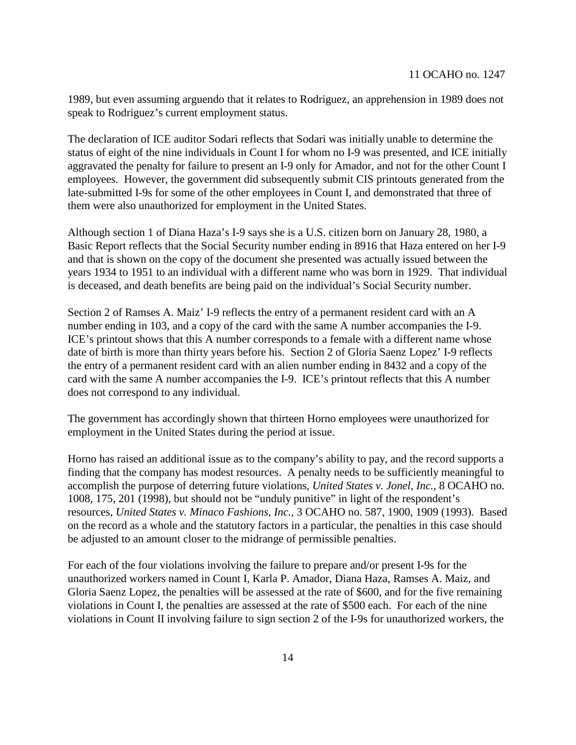1989, but even assuming arguendo that it relates to Rodriguez, an apprehension in 1989 does not speak to Rodriguez's current employment status.

The declaration of ICE auditor Sodari reflects that Sodari was initially unable to determine the status of eight of the nine individuals in Count I for whom no I-9 was presented, and ICE initially aggravated the penalty for failure to present an I-9 only for Amador, and not for the other Count I employees. However, the government did subsequently submit CIS printouts generated from the late-submitted I-9s for some of the other employees in Count I, and demonstrated that three of them were also unauthorized for employment in the United States.

Although section 1 of Diana Haza's I-9 says she is a U.S. citizen born on January 28, 1980, a Basic Report reflects that the Social Security number ending in 8916 that Haza entered on her I-9 and that is shown on the copy of the document she presented was actually issued between the years 1934 to 1951 to an individual with a different name who was born in 1929. That individual is deceased, and death benefits are being paid on the individual's Social Security number.

Section 2 of Ramses A. Maiz' I-9 reflects the entry of a permanent resident card with an A number ending in 103, and a copy of the card with the same A number accompanies the I-9. ICE's printout shows that this A number corresponds to a female with a different name whose date of birth is more than thirty years before his. Section 2 of Gloria Saenz Lopez' I-9 reflects the entry of a permanent resident card with an alien number ending in 8432 and a copy of the card with the same A number accompanies the I-9. ICE's printout reflects that this A number does not correspond to any individual.

The government has accordingly shown that thirteen Horno employees were unauthorized for employment in the United States during the period at issue.

Horno has raised an additional issue as to the company's ability to pay, and the record supports a finding that the company has modest resources. A penalty needs to be sufficiently meaningful to accomplish the purpose of deterring future violations, *United States v. Jonel, Inc.,* 8 OCAHO no. 1008, 175, 201 (1998), but should not be "unduly punitive" in light of the respondent's resources, *United States v. Minaco Fashions, Inc.,* 3 OCAHO no. 587, 1900, 1909 (1993). Based on the record as a whole and the statutory factors in a particular, the penalties in this case should be adjusted to an amount closer to the midrange of permissible penalties.

For each of the four violations involving the failure to prepare and/or present I-9s for the unauthorized workers named in Count I, Karla P. Amador, Diana Haza, Ramses A. Maiz, and Gloria Saenz Lopez, the penalties will be assessed at the rate of \$600, and for the five remaining violations in Count I, the penalties are assessed at the rate of \$500 each. For each of the nine violations in Count II involving failure to sign section 2 of the I-9s for unauthorized workers, the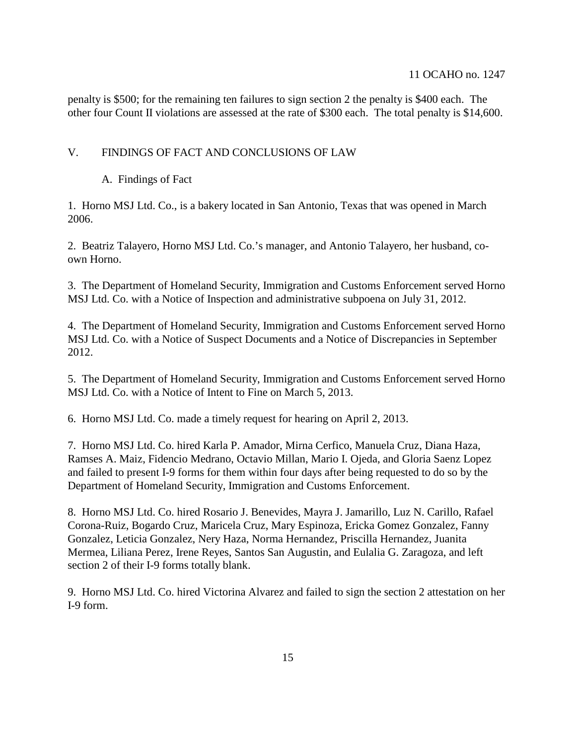### 11 OCAHO no. 1247

penalty is \$500; for the remaining ten failures to sign section 2 the penalty is \$400 each. The other four Count II violations are assessed at the rate of \$300 each. The total penalty is \$14,600.

### V. FINDINGS OF FACT AND CONCLUSIONS OF LAW

A. Findings of Fact

1. Horno MSJ Ltd. Co., is a bakery located in San Antonio, Texas that was opened in March 2006.

2. Beatriz Talayero, Horno MSJ Ltd. Co.'s manager, and Antonio Talayero, her husband, coown Horno.

3. The Department of Homeland Security, Immigration and Customs Enforcement served Horno MSJ Ltd. Co. with a Notice of Inspection and administrative subpoena on July 31, 2012.

4. The Department of Homeland Security, Immigration and Customs Enforcement served Horno MSJ Ltd. Co. with a Notice of Suspect Documents and a Notice of Discrepancies in September 2012.

5. The Department of Homeland Security, Immigration and Customs Enforcement served Horno MSJ Ltd. Co. with a Notice of Intent to Fine on March 5, 2013.

6. Horno MSJ Ltd. Co. made a timely request for hearing on April 2, 2013.

7. Horno MSJ Ltd. Co. hired Karla P. Amador, Mirna Cerfico, Manuela Cruz, Diana Haza, Ramses A. Maiz, Fidencio Medrano, Octavio Millan, Mario I. Ojeda, and Gloria Saenz Lopez and failed to present I-9 forms for them within four days after being requested to do so by the Department of Homeland Security, Immigration and Customs Enforcement.

8. Horno MSJ Ltd. Co. hired Rosario J. Benevides, Mayra J. Jamarillo, Luz N. Carillo, Rafael Corona-Ruiz, Bogardo Cruz, Maricela Cruz, Mary Espinoza, Ericka Gomez Gonzalez, Fanny Gonzalez, Leticia Gonzalez, Nery Haza, Norma Hernandez, Priscilla Hernandez, Juanita Mermea, Liliana Perez, Irene Reyes, Santos San Augustin, and Eulalia G. Zaragoza, and left section 2 of their I-9 forms totally blank.

9. Horno MSJ Ltd. Co. hired Victorina Alvarez and failed to sign the section 2 attestation on her I-9 form.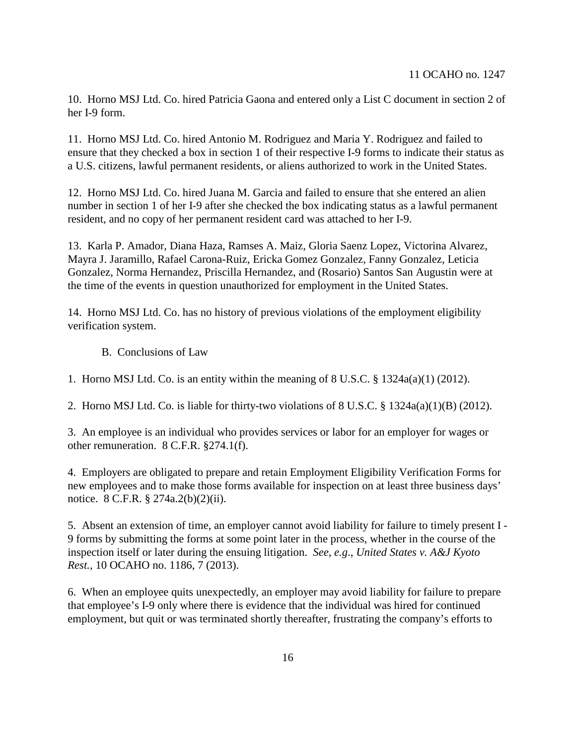10. Horno MSJ Ltd. Co. hired Patricia Gaona and entered only a List C document in section 2 of her I-9 form.

11. Horno MSJ Ltd. Co. hired Antonio M. Rodriguez and Maria Y. Rodriguez and failed to ensure that they checked a box in section 1 of their respective I-9 forms to indicate their status as a U.S. citizens, lawful permanent residents, or aliens authorized to work in the United States.

12. Horno MSJ Ltd. Co. hired Juana M. Garcia and failed to ensure that she entered an alien number in section 1 of her I-9 after she checked the box indicating status as a lawful permanent resident, and no copy of her permanent resident card was attached to her I-9.

13. Karla P. Amador, Diana Haza, Ramses A. Maiz, Gloria Saenz Lopez, Victorina Alvarez, Mayra J. Jaramillo, Rafael Carona-Ruiz, Ericka Gomez Gonzalez, Fanny Gonzalez, Leticia Gonzalez, Norma Hernandez, Priscilla Hernandez, and (Rosario) Santos San Augustin were at the time of the events in question unauthorized for employment in the United States.

14. Horno MSJ Ltd. Co. has no history of previous violations of the employment eligibility verification system.

B. Conclusions of Law

1. Horno MSJ Ltd. Co. is an entity within the meaning of 8 U.S.C. § 1324a(a)(1) (2012).

2. Horno MSJ Ltd. Co. is liable for thirty-two violations of 8 U.S.C. § 1324a(a)(1)(B) (2012).

3. An employee is an individual who provides services or labor for an employer for wages or other remuneration. 8 C.F.R. §274.1(f).

4. Employers are obligated to prepare and retain Employment Eligibility Verification Forms for new employees and to make those forms available for inspection on at least three business days' notice. 8 C.F.R. § 274a.2(b)(2)(ii).

5. Absent an extension of time, an employer cannot avoid liability for failure to timely present I - 9 forms by submitting the forms at some point later in the process, whether in the course of the inspection itself or later during the ensuing litigation. *See*, *e.g*., *United States v. A&J Kyoto Rest.*, 10 OCAHO no. 1186, 7 (2013).

6. When an employee quits unexpectedly, an employer may avoid liability for failure to prepare that employee's I-9 only where there is evidence that the individual was hired for continued employment, but quit or was terminated shortly thereafter, frustrating the company's efforts to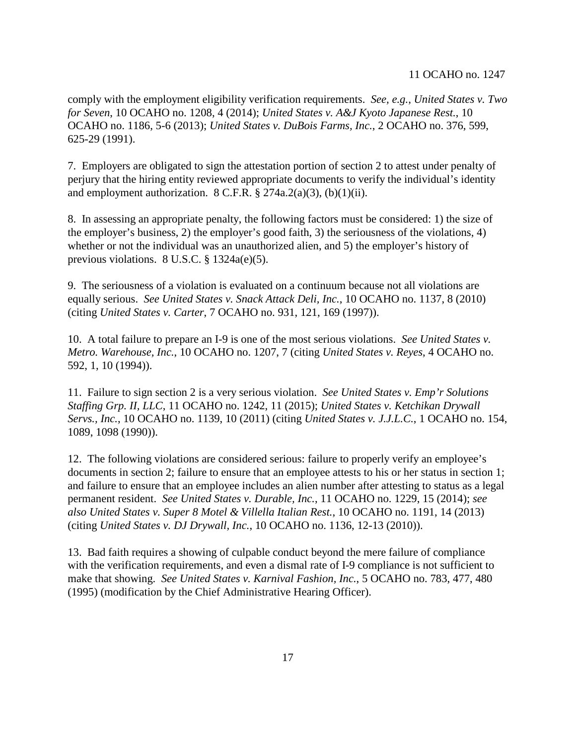### 11 OCAHO no. 1247

comply with the employment eligibility verification requirements. *See, e.g.*, *United States v. Two for Seven*, 10 OCAHO no. 1208, 4 (2014); *United States v. A&J Kyoto Japanese Rest.*, 10 OCAHO no. 1186, 5-6 (2013); *United States v. DuBois Farms, Inc.*, 2 OCAHO no. 376, 599, 625-29 (1991).

7. Employers are obligated to sign the attestation portion of section 2 to attest under penalty of perjury that the hiring entity reviewed appropriate documents to verify the individual's identity and employment authorization.  $8 \text{ C.F.R.}$   $\frac{8}{3}$   $274a.2(a)(3)$ , (b)(1)(ii).

8. In assessing an appropriate penalty, the following factors must be considered: 1) the size of the employer's business, 2) the employer's good faith, 3) the seriousness of the violations, 4) whether or not the individual was an unauthorized alien, and 5) the employer's history of previous violations. 8 U.S.C. § 1324a(e)(5).

9. The seriousness of a violation is evaluated on a continuum because not all violations are equally serious. *See United States v. Snack Attack Deli, Inc.*, 10 OCAHO no. 1137, 8 (2010) (citing *United States v. Carter*, 7 OCAHO no. 931, 121, 169 (1997)).

10. A total failure to prepare an I-9 is one of the most serious violations. *See United States v. Metro. Warehouse, Inc.*, 10 OCAHO no. 1207, 7 (citing *United States v. Reyes*, 4 OCAHO no. 592, 1, 10 (1994)).

11. Failure to sign section 2 is a very serious violation. *See United States v. Emp'r Solutions Staffing Grp. II, LLC*, 11 OCAHO no. 1242, 11 (2015); *United States v. Ketchikan Drywall Servs., Inc.*, 10 OCAHO no. 1139, 10 (2011) (citing *United States v. J.J.L.C.*, 1 OCAHO no. 154, 1089, 1098 (1990)).

12. The following violations are considered serious: failure to properly verify an employee's documents in section 2; failure to ensure that an employee attests to his or her status in section 1; and failure to ensure that an employee includes an alien number after attesting to status as a legal permanent resident. *See United States v. Durable, Inc.*, 11 OCAHO no. 1229, 15 (2014); *see also United States v. Super 8 Motel & Villella Italian Rest.*, 10 OCAHO no. 1191, 14 (2013) (citing *United States v. DJ Drywall, Inc.*, 10 OCAHO no. 1136, 12-13 (2010)).

13. Bad faith requires a showing of culpable conduct beyond the mere failure of compliance with the verification requirements, and even a dismal rate of I-9 compliance is not sufficient to make that showing. *See United States v. Karnival Fashion, Inc.*, 5 OCAHO no. 783, 477, 480 (1995) (modification by the Chief Administrative Hearing Officer).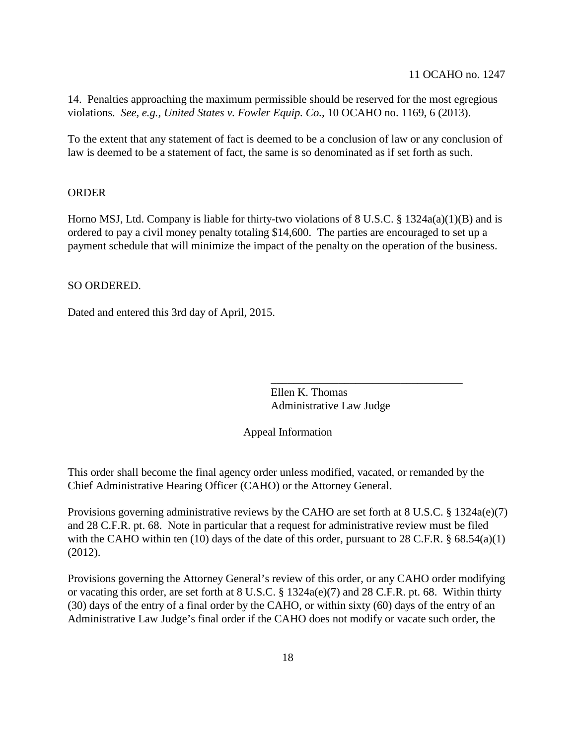14. Penalties approaching the maximum permissible should be reserved for the most egregious violations. *See, e.g., United States v. Fowler Equip. Co.,* 10 OCAHO no. 1169, 6 (2013).

To the extent that any statement of fact is deemed to be a conclusion of law or any conclusion of law is deemed to be a statement of fact, the same is so denominated as if set forth as such.

### ORDER

Horno MSJ, Ltd. Company is liable for thirty-two violations of 8 U.S.C. § 1324a(a)(1)(B) and is ordered to pay a civil money penalty totaling \$14,600. The parties are encouraged to set up a payment schedule that will minimize the impact of the penalty on the operation of the business.

SO ORDERED.

Dated and entered this 3rd day of April, 2015.

Ellen K. Thomas Administrative Law Judge

\_\_\_\_\_\_\_\_\_\_\_\_\_\_\_\_\_\_\_\_\_\_\_\_\_\_\_\_\_\_\_\_\_\_

Appeal Information

This order shall become the final agency order unless modified, vacated, or remanded by the Chief Administrative Hearing Officer (CAHO) or the Attorney General.

Provisions governing administrative reviews by the CAHO are set forth at 8 U.S.C. § 1324a(e)(7) and 28 C.F.R. pt. 68. Note in particular that a request for administrative review must be filed with the CAHO within ten (10) days of the date of this order, pursuant to 28 C.F.R. § 68.54(a)(1) (2012).

Provisions governing the Attorney General's review of this order, or any CAHO order modifying or vacating this order, are set forth at 8 U.S.C. § 1324a(e)(7) and 28 C.F.R. pt. 68. Within thirty (30) days of the entry of a final order by the CAHO, or within sixty (60) days of the entry of an Administrative Law Judge's final order if the CAHO does not modify or vacate such order, the